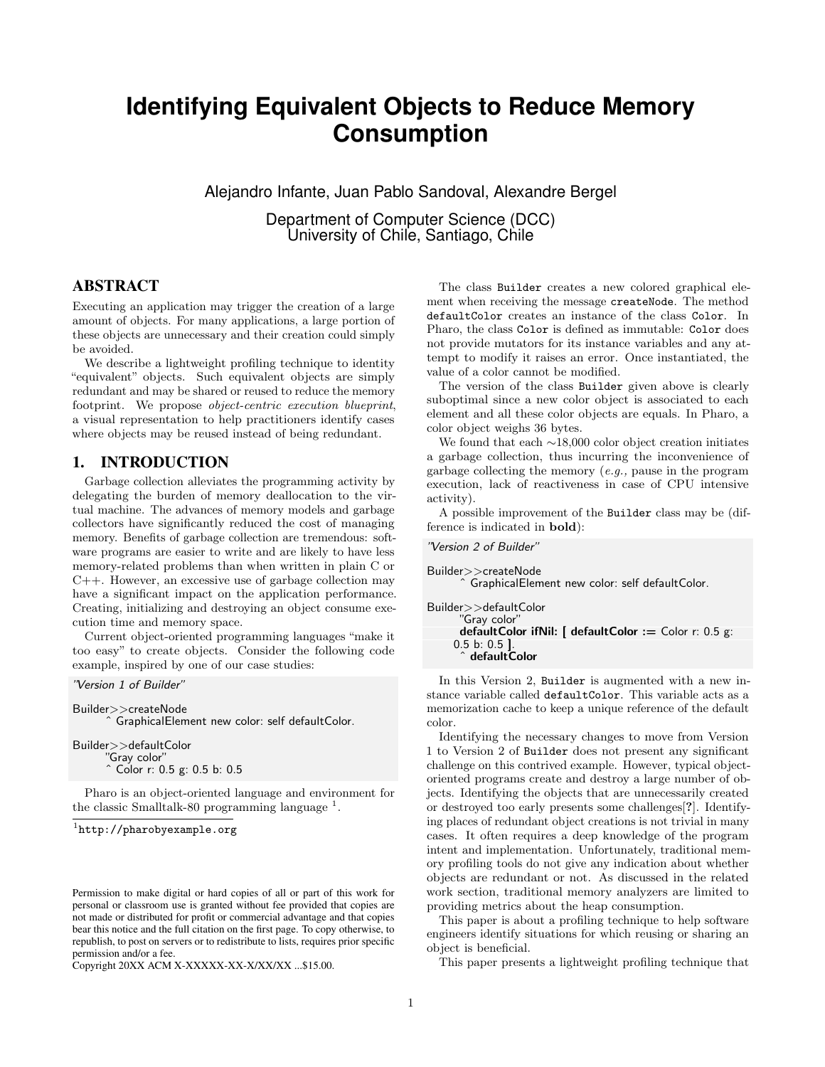# **Identifying Equivalent Objects to Reduce Memory Consumption**

Alejandro Infante, Juan Pablo Sandoval, Alexandre Bergel

Department of Computer Science (DCC) University of Chile, Santiago, Chile

# ABSTRACT

Executing an application may trigger the creation of a large amount of objects. For many applications, a large portion of these objects are unnecessary and their creation could simply be avoided.

We describe a lightweight profiling technique to identity "equivalent" objects. Such equivalent objects are simply redundant and may be shared or reused to reduce the memory footprint. We propose object-centric execution blueprint, a visual representation to help practitioners identify cases where objects may be reused instead of being redundant.

## 1. INTRODUCTION

Garbage collection alleviates the programming activity by delegating the burden of memory deallocation to the virtual machine. The advances of memory models and garbage collectors have significantly reduced the cost of managing memory. Benefits of garbage collection are tremendous: software programs are easier to write and are likely to have less memory-related problems than when written in plain C or C++. However, an excessive use of garbage collection may have a significant impact on the application performance. Creating, initializing and destroying an object consume execution time and memory space.

Current object-oriented programming languages "make it too easy" to create objects. Consider the following code example, inspired by one of our case studies:

#### "Version 1 of Builder"

Builder>>createNode ˆ GraphicalElement new color: self defaultColor. Builder>>defaultColor "Gray color"

ˆ Color r: 0.5 g: 0.5 b: 0.5 Pharo is an object-oriented language and environment for

the classic Smalltalk-80 programming language<sup>[1](#page-0-0)</sup>.

```
1
http://pharobyexample.org
```
Copyright 20XX ACM X-XXXXX-XX-X/XX/XX ...\$15.00.

The class Builder creates a new colored graphical element when receiving the message createNode. The method defaultColor creates an instance of the class Color. In Pharo, the class Color is defined as immutable: Color does not provide mutators for its instance variables and any attempt to modify it raises an error. Once instantiated, the value of a color cannot be modified.

The version of the class Builder given above is clearly suboptimal since a new color object is associated to each element and all these color objects are equals. In Pharo, a color object weighs 36 bytes.

We found that each ∼18,000 color object creation initiates a garbage collection, thus incurring the inconvenience of garbage collecting the memory (e.g., pause in the program execution, lack of reactiveness in case of CPU intensive activity).

A possible improvement of the Builder class may be (difference is indicated in bold):

```
"Version 2 of Builder"
```

```
Builder>>createNode
        ˆ GraphicalElement new color: self defaultColor.
Builder>>defaultColor
       "Gray color"
```

```
defaultColor ifNil: [ defaultColor := Color r: 0.5 g:
0.5 b: 0.5 ].
   ˆ defaultColor
```
In this Version 2, Builder is augmented with a new instance variable called defaultColor. This variable acts as a memorization cache to keep a unique reference of the default color.

Identifying the necessary changes to move from Version 1 to Version 2 of Builder does not present any significant challenge on this contrived example. However, typical objectoriented programs create and destroy a large number of objects. Identifying the objects that are unnecessarily created or destroyed too early presents some challenges[?]. Identifying places of redundant object creations is not trivial in many cases. It often requires a deep knowledge of the program intent and implementation. Unfortunately, traditional memory profiling tools do not give any indication about whether objects are redundant or not. As discussed in the related work section, traditional memory analyzers are limited to providing metrics about the heap consumption.

This paper is about a profiling technique to help software engineers identify situations for which reusing or sharing an object is beneficial.

This paper presents a lightweight profiling technique that

Permission to make digital or hard copies of all or part of this work for personal or classroom use is granted without fee provided that copies are not made or distributed for profit or commercial advantage and that copies bear this notice and the full citation on the first page. To copy otherwise, to republish, to post on servers or to redistribute to lists, requires prior specific permission and/or a fee.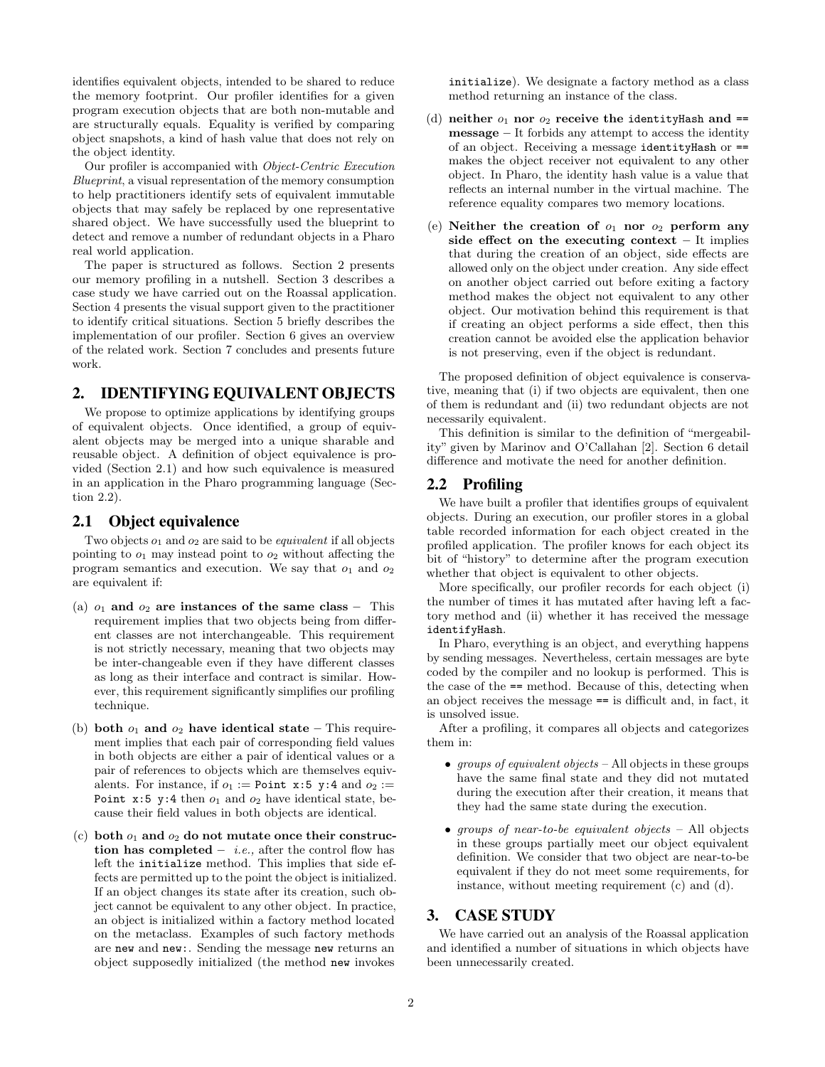identifies equivalent objects, intended to be shared to reduce the memory footprint. Our profiler identifies for a given program execution objects that are both non-mutable and are structurally equals. Equality is verified by comparing object snapshots, a kind of hash value that does not rely on the object identity.

Our profiler is accompanied with Object-Centric Execution Blueprint, a visual representation of the memory consumption to help practitioners identify sets of equivalent immutable objects that may safely be replaced by one representative shared object. We have successfully used the blueprint to detect and remove a number of redundant objects in a Pharo real world application.

The paper is structured as follows. Section [2](#page-1-0) presents our memory profiling in a nutshell. Section [3](#page-1-1) describes a case study we have carried out on the Roassal application. Section [4](#page-2-0) presents the visual support given to the practitioner to identify critical situations. Section [5](#page-3-0) briefly describes the implementation of our profiler. Section [6](#page-3-1) gives an overview of the related work. Section [7](#page-3-2) concludes and presents future work.

# <span id="page-1-0"></span>2. IDENTIFYING EQUIVALENT OBJECTS

We propose to optimize applications by identifying groups of equivalent objects. Once identified, a group of equivalent objects may be merged into a unique sharable and reusable object. A definition of object equivalence is provided (Section [2.1\)](#page-1-2) and how such equivalence is measured in an application in the Pharo programming language (Section [2.2\)](#page-1-3).

#### <span id="page-1-2"></span>2.1 Object equivalence

Two objects  $o_1$  and  $o_2$  are said to be *equivalent* if all objects pointing to  $o_1$  may instead point to  $o_2$  without affecting the program semantics and execution. We say that  $o_1$  and  $o_2$ are equivalent if:

- (a)  $o_1$  and  $o_2$  are instances of the same class This requirement implies that two objects being from different classes are not interchangeable. This requirement is not strictly necessary, meaning that two objects may be inter-changeable even if they have different classes as long as their interface and contract is similar. However, this requirement significantly simplifies our profiling technique.
- (b) both  $o_1$  and  $o_2$  have identical state This requirement implies that each pair of corresponding field values in both objects are either a pair of identical values or a pair of references to objects which are themselves equivalents. For instance, if  $o_1 :=$  Point x:5 y:4 and  $o_2 :=$ Point  $x:5$  y:4 then  $o_1$  and  $o_2$  have identical state, because their field values in both objects are identical.
- (c) both  $o_1$  and  $o_2$  do not mutate once their construction has completed – *i.e.*, after the control flow has left the initialize method. This implies that side effects are permitted up to the point the object is initialized. If an object changes its state after its creation, such object cannot be equivalent to any other object. In practice, an object is initialized within a factory method located on the metaclass. Examples of such factory methods are new and new:. Sending the message new returns an object supposedly initialized (the method new invokes

initialize). We designate a factory method as a class method returning an instance of the class.

- (d) neither  $o_1$  nor  $o_2$  receive the identity Hash and == message – It forbids any attempt to access the identity of an object. Receiving a message identityHash or == makes the object receiver not equivalent to any other object. In Pharo, the identity hash value is a value that reflects an internal number in the virtual machine. The reference equality compares two memory locations.
- (e) Neither the creation of  $o_1$  nor  $o_2$  perform any side effect on the executing context  $-$  It implies that during the creation of an object, side effects are allowed only on the object under creation. Any side effect on another object carried out before exiting a factory method makes the object not equivalent to any other object. Our motivation behind this requirement is that if creating an object performs a side effect, then this creation cannot be avoided else the application behavior is not preserving, even if the object is redundant.

The proposed definition of object equivalence is conservative, meaning that (i) if two objects are equivalent, then one of them is redundant and (ii) two redundant objects are not necessarily equivalent.

This definition is similar to the definition of "mergeability" given by Marinov and O'Callahan [\[2\]](#page-4-0). Section [6](#page-3-1) detail difference and motivate the need for another definition.

#### <span id="page-1-3"></span>2.2 Profiling

We have built a profiler that identifies groups of equivalent objects. During an execution, our profiler stores in a global table recorded information for each object created in the profiled application. The profiler knows for each object its bit of "history" to determine after the program execution whether that object is equivalent to other objects.

More specifically, our profiler records for each object (i) the number of times it has mutated after having left a factory method and (ii) whether it has received the message identifyHash.

In Pharo, everything is an object, and everything happens by sending messages. Nevertheless, certain messages are byte coded by the compiler and no lookup is performed. This is the case of the == method. Because of this, detecting when an object receives the message == is difficult and, in fact, it is unsolved issue.

After a profiling, it compares all objects and categorizes them in:

- groups of equivalent objects All objects in these groups have the same final state and they did not mutated during the execution after their creation, it means that they had the same state during the execution.
- groups of near-to-be equivalent objects All objects in these groups partially meet our object equivalent definition. We consider that two object are near-to-be equivalent if they do not meet some requirements, for instance, without meeting requirement (c) and (d).

#### <span id="page-1-1"></span>3. CASE STUDY

We have carried out an analysis of the Roassal application and identified a number of situations in which objects have been unnecessarily created.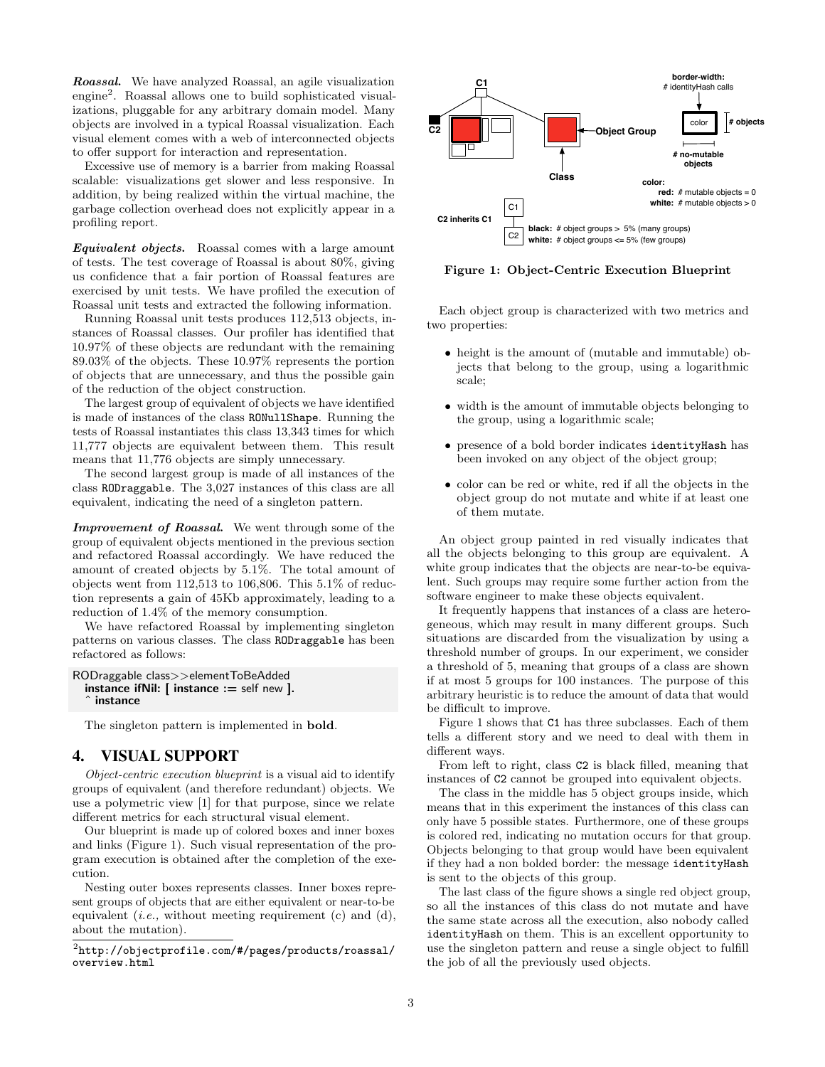Roassal. We have analyzed Roassal, an agile visualization engine[2](#page-2-1) . Roassal allows one to build sophisticated visualizations, pluggable for any arbitrary domain model. Many objects are involved in a typical Roassal visualization. Each visual element comes with a web of interconnected objects to offer support for interaction and representation.

Excessive use of memory is a barrier from making Roassal scalable: visualizations get slower and less responsive. In addition, by being realized within the virtual machine, the garbage collection overhead does not explicitly appear in a profiling report.

Equivalent objects. Roassal comes with a large amount of tests. The test coverage of Roassal is about 80%, giving us confidence that a fair portion of Roassal features are exercised by unit tests. We have profiled the execution of Roassal unit tests and extracted the following information.

Running Roassal unit tests produces 112,513 objects, instances of Roassal classes. Our profiler has identified that 10.97% of these objects are redundant with the remaining 89.03% of the objects. These 10.97% represents the portion of objects that are unnecessary, and thus the possible gain of the reduction of the object construction.

The largest group of equivalent of objects we have identified is made of instances of the class RONullShape. Running the tests of Roassal instantiates this class 13,343 times for which 11,777 objects are equivalent between them. This result means that 11,776 objects are simply unnecessary.

The second largest group is made of all instances of the class RODraggable. The 3,027 instances of this class are all equivalent, indicating the need of a singleton pattern.

Improvement of Roassal. We went through some of the group of equivalent objects mentioned in the previous section and refactored Roassal accordingly. We have reduced the amount of created objects by 5.1%. The total amount of objects went from  $112,513$  to  $106,806$ . This  $5.1\%$  of reduction represents a gain of 45Kb approximately, leading to a reduction of 1.4% of the memory consumption.

We have refactored Roassal by implementing singleton patterns on various classes. The class RODraggable has been refactored as follows:

```
RODraggable class>>elementToBeAdded
  instance if Nil: \lceil instance : = self new \lceil.
    instance
```
The singleton pattern is implemented in bold.

# <span id="page-2-0"></span>4. VISUAL SUPPORT

Object-centric execution blueprint is a visual aid to identify groups of equivalent (and therefore redundant) objects. We use a polymetric view [\[1\]](#page-4-1) for that purpose, since we relate different metrics for each structural visual element.

Our blueprint is made up of colored boxes and inner boxes and links (Figure [1\)](#page-2-2). Such visual representation of the program execution is obtained after the completion of the execution.

Nesting outer boxes represents classes. Inner boxes represent groups of objects that are either equivalent or near-to-be equivalent (*i.e.*, without meeting requirement (c) and (d), about the mutation).

<span id="page-2-2"></span>

Figure 1: Object-Centric Execution Blueprint

Each object group is characterized with two metrics and two properties:

- height is the amount of (mutable and immutable) objects that belong to the group, using a logarithmic scale;
- width is the amount of immutable objects belonging to the group, using a logarithmic scale;
- presence of a bold border indicates identityHash has been invoked on any object of the object group;
- color can be red or white, red if all the objects in the object group do not mutate and white if at least one of them mutate.

An object group painted in red visually indicates that all the objects belonging to this group are equivalent. A white group indicates that the objects are near-to-be equivalent. Such groups may require some further action from the software engineer to make these objects equivalent.

It frequently happens that instances of a class are heterogeneous, which may result in many different groups. Such situations are discarded from the visualization by using a threshold number of groups. In our experiment, we consider a threshold of 5, meaning that groups of a class are shown if at most 5 groups for 100 instances. The purpose of this arbitrary heuristic is to reduce the amount of data that would be difficult to improve.

Figure [1](#page-2-2) shows that C1 has three subclasses. Each of them tells a different story and we need to deal with them in different ways.

From left to right, class C2 is black filled, meaning that instances of C2 cannot be grouped into equivalent objects.

The class in the middle has 5 object groups inside, which means that in this experiment the instances of this class can only have 5 possible states. Furthermore, one of these groups is colored red, indicating no mutation occurs for that group. Objects belonging to that group would have been equivalent if they had a non bolded border: the message identityHash is sent to the objects of this group.

The last class of the figure shows a single red object group, so all the instances of this class do not mutate and have the same state across all the execution, also nobody called identityHash on them. This is an excellent opportunity to use the singleton pattern and reuse a single object to fulfill the job of all the previously used objects.

<span id="page-2-1"></span> $^2$ [http://objectprofile.com/#/pages/products/roassal/](http://objectprofile.com/#/pages/products/roassal/overview.html) [overview.html](http://objectprofile.com/#/pages/products/roassal/overview.html)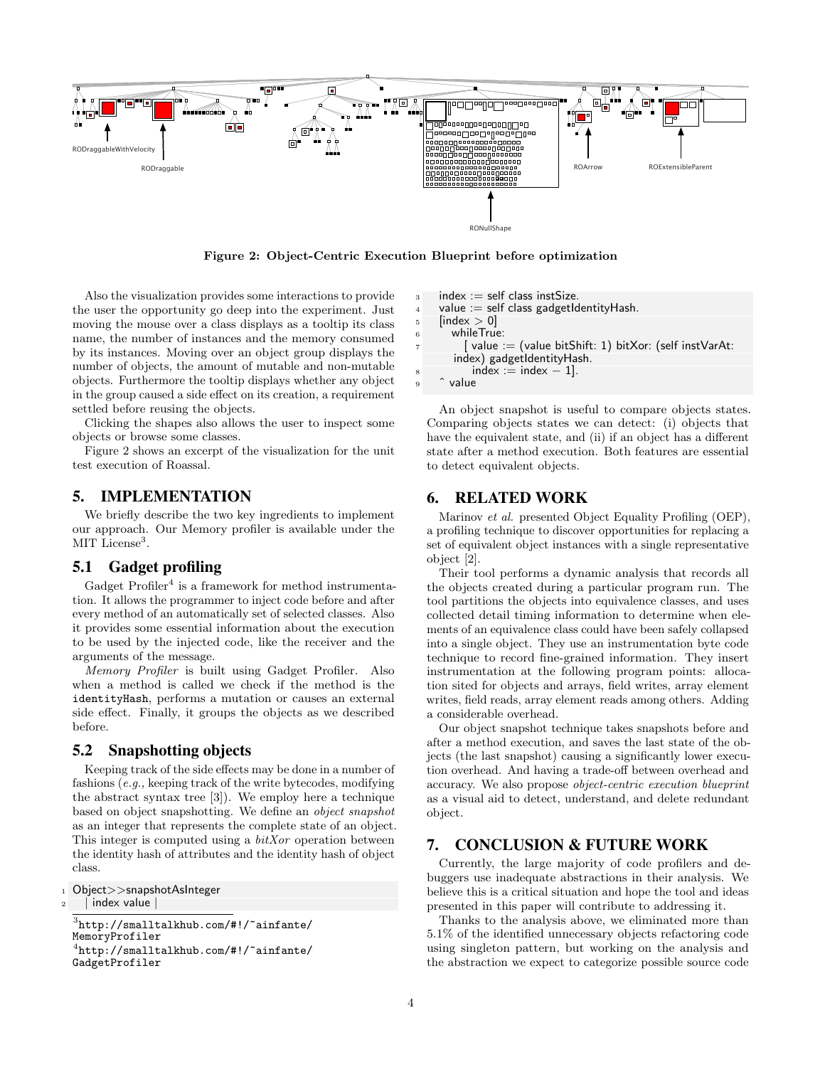<span id="page-3-3"></span>

Figure 2: Object-Centric Execution Blueprint before optimization

Also the visualization provides some interactions to provide the user the opportunity go deep into the experiment. Just moving the mouse over a class displays as a tooltip its class name, the number of instances and the memory consumed by its instances. Moving over an object group displays the number of objects, the amount of mutable and non-mutable objects. Furthermore the tooltip displays whether any object in the group caused a side effect on its creation, a requirement settled before reusing the objects.

Clicking the shapes also allows the user to inspect some objects or browse some classes.

Figure [2](#page-3-3) shows an excerpt of the visualization for the unit test execution of Roassal.

## <span id="page-3-0"></span>5. IMPLEMENTATION

We briefly describe the two key ingredients to implement our approach. Our Memory profiler is available under the MIT License<sup>[3](#page-3-4)</sup>.

#### 5.1 Gadget profiling

Gadget  $Problem<sup>4</sup>$  $Problem<sup>4</sup>$  $Problem<sup>4</sup>$  is a framework for method instrumentation. It allows the programmer to inject code before and after every method of an automatically set of selected classes. Also it provides some essential information about the execution to be used by the injected code, like the receiver and the arguments of the message.

Memory Profiler is built using Gadget Profiler. Also when a method is called we check if the method is the identityHash, performs a mutation or causes an external side effect. Finally, it groups the objects as we described before.

# 5.2 Snapshotting objects

Keeping track of the side effects may be done in a number of fashions (e.g., keeping track of the write bytecodes, modifying the abstract syntax tree [\[3\]](#page-4-2)). We employ here a technique based on object snapshotting. We define an object snapshot as an integer that represents the complete state of an object. This integer is computed using a  $bitXor$  operation between the identity hash of attributes and the identity hash of object class.

```
1 Object>>snapshotAsInteger
2 | index value
```

```
3http://smalltalkhub.com/#!/~ainfante/
MemoryProfiler
4
http://smalltalkhub.com/#!/~ainfante/
GadgetProfiler
```

```
3 index := self class instSize.
    value := self class gadgetIdentityHash.
5 [index > 0]
6 whileTrue:
```

```
\alpha value := (value bitShift: 1) bitXor: (self instVarAt:
index) gadgetIdentityHash.
```

```
index := index - 1.
```

```
value
```
An object snapshot is useful to compare objects states. Comparing objects states we can detect: (i) objects that have the equivalent state, and (ii) if an object has a different state after a method execution. Both features are essential to detect equivalent objects.

#### <span id="page-3-1"></span>6. RELATED WORK

Marinov et al. presented Object Equality Profiling (OEP), a profiling technique to discover opportunities for replacing a set of equivalent object instances with a single representative object [\[2\]](#page-4-0).

Their tool performs a dynamic analysis that records all the objects created during a particular program run. The tool partitions the objects into equivalence classes, and uses collected detail timing information to determine when elements of an equivalence class could have been safely collapsed into a single object. They use an instrumentation byte code technique to record fine-grained information. They insert instrumentation at the following program points: allocation sited for objects and arrays, field writes, array element writes, field reads, array element reads among others. Adding a considerable overhead.

Our object snapshot technique takes snapshots before and after a method execution, and saves the last state of the objects (the last snapshot) causing a significantly lower execution overhead. And having a trade-off between overhead and accuracy. We also propose object-centric execution blueprint as a visual aid to detect, understand, and delete redundant object.

# <span id="page-3-2"></span>7. CONCLUSION & FUTURE WORK

Currently, the large majority of code profilers and debuggers use inadequate abstractions in their analysis. We believe this is a critical situation and hope the tool and ideas presented in this paper will contribute to addressing it.

Thanks to the analysis above, we eliminated more than 5.1% of the identified unnecessary objects refactoring code using singleton pattern, but working on the analysis and the abstraction we expect to categorize possible source code